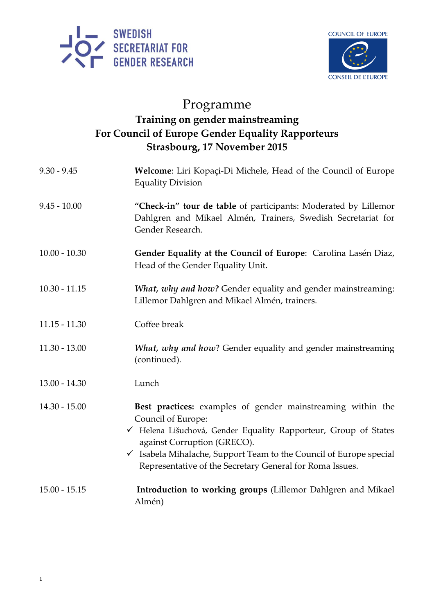

1



## Programme

## **Training on gender mainstreaming For Council of Europe Gender Equality Rapporteurs Strasbourg, 17 November 2015**

| $9.30 - 9.45$   | Welcome: Liri Kopaçi-Di Michele, Head of the Council of Europe<br><b>Equality Division</b>                                                                                                                                                                                                                            |
|-----------------|-----------------------------------------------------------------------------------------------------------------------------------------------------------------------------------------------------------------------------------------------------------------------------------------------------------------------|
| $9.45 - 10.00$  | "Check-in" tour de table of participants: Moderated by Lillemor<br>Dahlgren and Mikael Almén, Trainers, Swedish Secretariat for<br>Gender Research.                                                                                                                                                                   |
| $10.00 - 10.30$ | Gender Equality at the Council of Europe: Carolina Lasén Diaz,<br>Head of the Gender Equality Unit.                                                                                                                                                                                                                   |
| $10.30 - 11.15$ | What, why and how? Gender equality and gender mainstreaming:<br>Lillemor Dahlgren and Mikael Almén, trainers.                                                                                                                                                                                                         |
| $11.15 - 11.30$ | Coffee break                                                                                                                                                                                                                                                                                                          |
| $11.30 - 13.00$ | What, why and how? Gender equality and gender mainstreaming<br>(continued).                                                                                                                                                                                                                                           |
| $13.00 - 14.30$ | Lunch                                                                                                                                                                                                                                                                                                                 |
| $14.30 - 15.00$ | Best practices: examples of gender mainstreaming within the<br>Council of Europe:<br>√ Helena Lišuchová, Gender Equality Rapporteur, Group of States<br>against Corruption (GRECO).<br>✓ Isabela Mihalache, Support Team to the Council of Europe special<br>Representative of the Secretary General for Roma Issues. |
| $15.00 - 15.15$ | Introduction to working groups (Lillemor Dahlgren and Mikael<br>Almén)                                                                                                                                                                                                                                                |